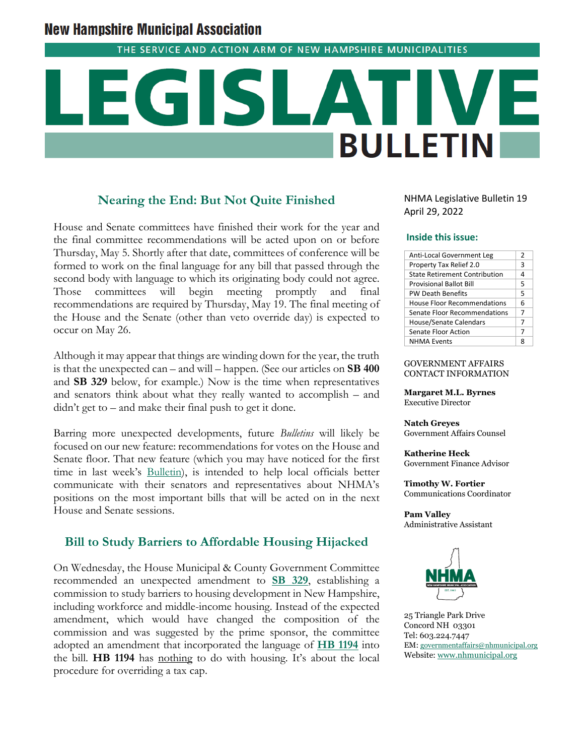## **New Hampshire Municipal Association**

THE SERVICE AND ACTION ARM OF NEW HAMPSHIRE MUNICIPALITIES

# **BULLETIN**

#### **Nearing the End: But Not Quite Finished**

House and Senate committees have finished their work for the year and the final committee recommendations will be acted upon on or before Thursday, May 5. Shortly after that date, committees of conference will be formed to work on the final language for any bill that passed through the second body with language to which its originating body could not agree. Those committees will begin meeting promptly and final recommendations are required by Thursday, May 19. The final meeting of the House and the Senate (other than veto override day) is expected to occur on May 26.

Although it may appear that things are winding down for the year, the truth is that the unexpected can – and will – happen. (See our articles on **SB 400** and **SB 329** below, for example.) Now is the time when representatives and senators think about what they really wanted to accomplish – and didn't get to – and make their final push to get it done.

Barring more unexpected developments, future *Bulletins* will likely be focused on our new feature: recommendations for votes on the House and Senate floor. That new feature (which you may have noticed for the first time in last week's **Bulletin**), is intended to help local officials better communicate with their senators and representatives about NHMA's positions on the most important bills that will be acted on in the next House and Senate sessions.

#### **Bill to Study Barriers to Affordable Housing Hijacked**

On Wednesday, the House Municipal & County Government Committee recommended an unexpected amendment to **[SB 329](http://www.gencourt.state.nh.us/bill_Status/pdf.aspx?id=31213&q=billVersion)**, establishing a commission to study barriers to housing development in New Hampshire, including workforce and middle-income housing. Instead of the expected amendment, which would have changed the composition of the commission and was suggested by the prime sponsor, the committee adopted an amendment that incorporated the language of **[HB 1194](http://www.gencourt.state.nh.us/bill_status/pdf.aspx?id=27492&q=billVersion)** into the bill. **HB 1194** has nothing to do with housing. It's about the local procedure for overriding a tax cap.

NHMA Legislative Bulletin 19 April 29, 2022

#### **Inside this issue:**

| Anti-Local Government Leg            | 2 |
|--------------------------------------|---|
| Property Tax Relief 2.0              | 3 |
| <b>State Retirement Contribution</b> | 4 |
| <b>Provisional Ballot Bill</b>       | 5 |
| <b>PW Death Benefits</b>             | 5 |
| House Floor Recommendations          | 6 |
| Senate Floor Recommendations         | 7 |
| House/Senate Calendars               | 7 |
| Senate Floor Action                  | 7 |
| <b>NHMA Events</b>                   |   |

#### GOVERNMENT AFFAIRS CONTACT INFORMATION

**Margaret M.L. Byrnes** Executive Director

**Natch Greyes** Government Affairs Counsel

**Katherine Heck** Government Finance Advisor

**Timothy W. Fortier** Communications Coordinator

**Pam Valley** Administrative Assistant



25 Triangle Park Drive Concord NH 03301 Tel: 603.224.7447 EM: [governmentaffairs@nhmunicipal.org](mailto:governmentaffairs@nhmunicipal.org) Website: [www.nhmunicipal.org](http://www.nhmunicipal.org/)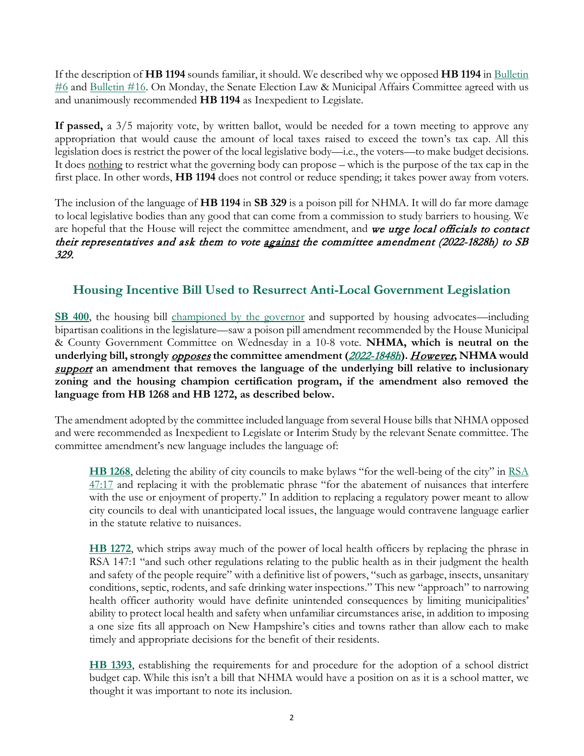If the description of **HB 1194** sounds familiar, it should. We described why we opposed **HB 1194** in [Bulletin](https://www.nhmunicipal.org/legislative-bulletin/2022-nhma-legislative-bulletin-06#26460)   $\#6$  and Bulletin  $\#16$ . On Monday, the Senate Election Law & Municipal Affairs Committee agreed with us and unanimously recommended **HB 1194** as Inexpedient to Legislate.

**If passed,** a 3/5 majority vote, by written ballot, would be needed for a town meeting to approve any appropriation that would cause the amount of local taxes raised to exceed the town's tax cap. All this legislation does is restrict the power of the local legislative body—i.e., the voters—to make budget decisions. It does nothing to restrict what the governing body can propose – which is the purpose of the tax cap in the first place. In other words, **HB 1194** does not control or reduce spending; it takes power away from voters.

The inclusion of the language of **HB 1194** in **SB 329** is a poison pill for NHMA. It will do far more damage to local legislative bodies than any good that can come from a commission to study barriers to housing. We are hopeful that the House will reject the committee amendment, and we urge local officials to contact their representatives and ask them to vote against the committee amendment (2022-1828h) to SB 329.

### **Housing Incentive Bill Used to Resurrect Anti-Local Government Legislation**

**[SB 400](http://www.gencourt.state.nh.us/bill_status/pdf.aspx?id=33314&q=billVersion)**, the housing bill [championed by the governor](https://www.nhmunicipal.org/legislative-bulletin/2022-nhma-legislative-bulletin-09) and supported by housing advocates—including bipartisan coalitions in the legislature—saw a poison pill amendment recommended by the House Municipal & County Government Committee on Wednesday in a 10-8 vote. **NHMA, which is neutral on the underlying bill, strongly** opposes **the committee amendment (**[2022-1848h](http://www.gencourt.state.nh.us/bill_status/pdf.aspx?id=35403&q=amendment)**).** However**, NHMA would**  support **an amendment that removes the language of the underlying bill relative to inclusionary zoning and the housing champion certification program, if the amendment also removed the language from HB 1268 and HB 1272, as described below.** 

The amendment adopted by the committee included language from several House bills that NHMA opposed and were recommended as Inexpedient to Legislate or Interim Study by the relevant Senate committee. The committee amendment's new language includes the language of:

**[HB 1268](http://www.gencourt.state.nh.us/bill_status/pdf.aspx?id=33226&q=billVersion)**, deleting the ability of city councils to make bylaws "for the well-being of the city" in [RSA](http://www.gencourt.state.nh.us/rsa/html/iii/47/47-17.htm)  [47:17](http://www.gencourt.state.nh.us/rsa/html/iii/47/47-17.htm) and replacing it with the problematic phrase "for the abatement of nuisances that interfere with the use or enjoyment of property." In addition to replacing a regulatory power meant to allow city councils to deal with unanticipated local issues, the language would contravene language earlier in the statute relative to nuisances.

**[HB 1272](http://www.gencourt.state.nh.us/bill_status/pdf.aspx?id=33004&q=billVersion)**, which strips away much of the power of local health officers by replacing the phrase in RSA 147:1 "and such other regulations relating to the public health as in their judgment the health and safety of the people require" with a definitive list of powers, "such as garbage, insects, unsanitary conditions, septic, rodents, and safe drinking water inspections." This new "approach" to narrowing health officer authority would have definite unintended consequences by limiting municipalities' ability to protect local health and safety when unfamiliar circumstances arise, in addition to imposing a one size fits all approach on New Hampshire's cities and towns rather than allow each to make timely and appropriate decisions for the benefit of their residents.

**[HB 1393](http://www.gencourt.state.nh.us/bill_status/pdf.aspx?id=28278&q=billVersion)**, establishing the requirements for and procedure for the adoption of a school district budget cap. While this isn't a bill that NHMA would have a position on as it is a school matter, we thought it was important to note its inclusion.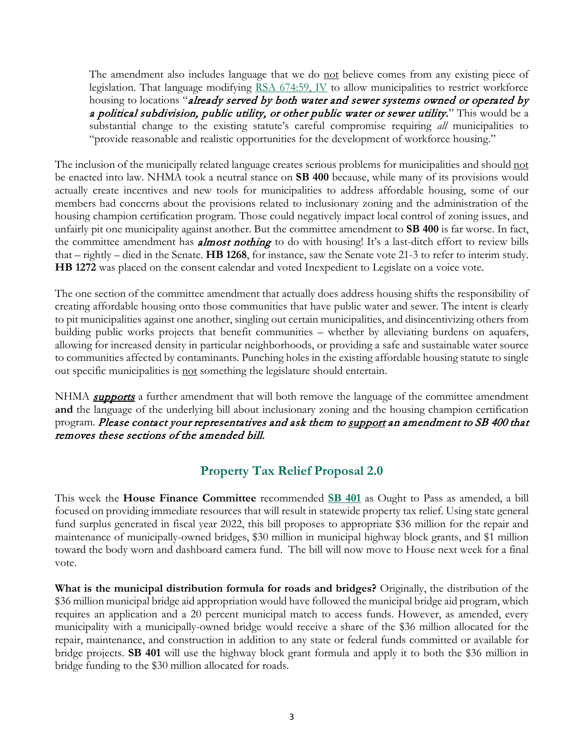The amendment also includes language that we do not believe comes from any existing piece of legislation. That language modifying [RSA 674:59, IV](http://www.gencourt.state.nh.us/rsa/html/lxiv/674/674-59.htm) to allow municipalities to restrict workforce housing to locations "already served by both water and sewer systems owned or operated by a political subdivision, public utility, or other public water or sewer utility." This would be a substantial change to the existing statute's careful compromise requiring *all* municipalities to "provide reasonable and realistic opportunities for the development of workforce housing."

The inclusion of the municipally related language creates serious problems for municipalities and should not be enacted into law. NHMA took a neutral stance on **SB 400** because, while many of its provisions would actually create incentives and new tools for municipalities to address affordable housing, some of our members had concerns about the provisions related to inclusionary zoning and the administration of the housing champion certification program. Those could negatively impact local control of zoning issues, and unfairly pit one municipality against another. But the committee amendment to **SB 400** is far worse. In fact, the committee amendment has **almost nothing** to do with housing! It's a last-ditch effort to review bills that – rightly – died in the Senate. **HB 1268**, for instance, saw the Senate vote 21-3 to refer to interim study. **HB 1272** was placed on the consent calendar and voted Inexpedient to Legislate on a voice vote.

The one section of the committee amendment that actually does address housing shifts the responsibility of creating affordable housing onto those communities that have public water and sewer. The intent is clearly to pit municipalities against one another, singling out certain municipalities, and disincentivizing others from building public works projects that benefit communities – whether by alleviating burdens on aquafers, allowing for increased density in particular neighborhoods, or providing a safe and sustainable water source to communities affected by contaminants. Punching holes in the existing affordable housing statute to single out specific municipalities is not something the legislature should entertain.

NHMA *supports* a further amendment that will both remove the language of the committee amendment **and** the language of the underlying bill about inclusionary zoning and the housing champion certification program. Please contact your representatives and ask them to support an amendment to SB 400 that removes these sections of the amended bill.

#### **Property Tax Relief Proposal 2.0**

This week the **House Finance Committee** recommended **[SB 401](http://www.gencourt.state.nh.us/bill_status/pdf.aspx?id=35392&q=amendment)** as Ought to Pass as amended, a bill focused on providing immediate resources that will result in statewide property tax relief. Using state general fund surplus generated in fiscal year 2022, this bill proposes to appropriate \$36 million for the repair and maintenance of municipally-owned bridges, \$30 million in municipal highway block grants, and \$1 million toward the body worn and dashboard camera fund. The bill will now move to House next week for a final vote.

**What is the municipal distribution formula for roads and bridges?** Originally, the distribution of the \$36 million municipal bridge aid appropriation would have followed the municipal bridge aid program, which requires an application and a 20 percent municipal match to access funds. However, as amended, every municipality with a municipally-owned bridge would receive a share of the \$36 million allocated for the repair, maintenance, and construction in addition to any state or federal funds committed or available for bridge projects. **SB 401** will use the highway block grant formula and apply it to both the \$36 million in bridge funding to the \$30 million allocated for roads.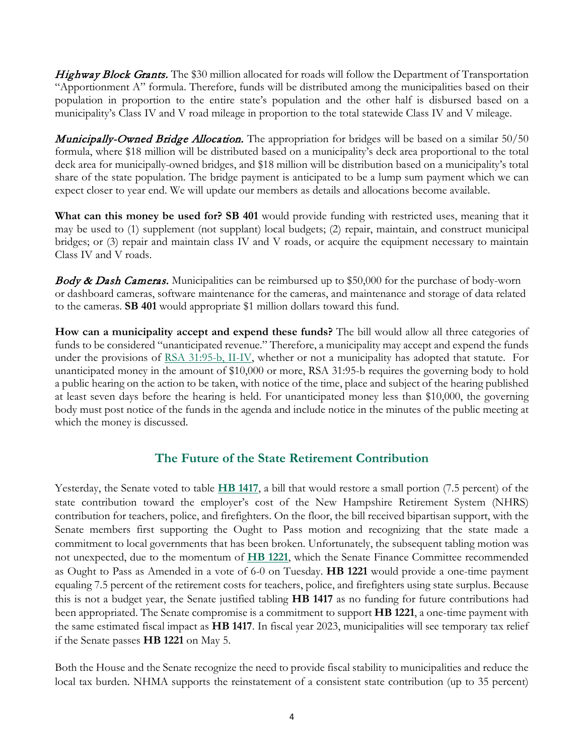Highway Block Grants. The \$30 million allocated for roads will follow the Department of Transportation "Apportionment A" formula. Therefore, funds will be distributed among the municipalities based on their population in proportion to the entire state's population and the other half is disbursed based on a municipality's Class IV and V road mileage in proportion to the total statewide Class IV and V mileage.

**Municipally-Owned Bridge Allocation.** The appropriation for bridges will be based on a similar 50/50 formula, where \$18 million will be distributed based on a municipality's deck area proportional to the total deck area for municipally-owned bridges, and \$18 million will be distribution based on a municipality's total share of the state population. The bridge payment is anticipated to be a lump sum payment which we can expect closer to year end. We will update our members as details and allocations become available.

**What can this money be used for? SB 401** would provide funding with restricted uses, meaning that it may be used to (1) supplement (not supplant) local budgets; (2) repair, maintain, and construct municipal bridges; or (3) repair and maintain class IV and V roads, or acquire the equipment necessary to maintain Class IV and V roads.

**Body & Dash Cameras.** Municipalities can be reimbursed up to \$50,000 for the purchase of body-worn or dashboard cameras, software maintenance for the cameras, and maintenance and storage of data related to the cameras. **SB 401** would appropriate \$1 million dollars toward this fund.

**How can a municipality accept and expend these funds?** The bill would allow all three categories of funds to be considered "unanticipated revenue." Therefore, a municipality may accept and expend the funds under the provisions of [RSA 31:95-b, II-IV,](http://www.gencourt.state.nh.us/rsa/html/III/31/31-95-b.htm) whether or not a municipality has adopted that statute. For unanticipated money in the amount of \$10,000 or more, RSA 31:95-b requires the governing body to hold a public hearing on the action to be taken, with notice of the time, place and subject of the hearing published at least seven days before the hearing is held. For unanticipated money less than \$10,000, the governing body must post notice of the funds in the agenda and include notice in the minutes of the public meeting at which the money is discussed.

#### **The Future of the State Retirement Contribution**

Yesterday, the Senate voted to table **[HB 1417](http://www.gencourt.state.nh.us/bill_status/pdf.aspx?id=28309&q=billVersion)**, a bill that would restore a small portion (7.5 percent) of the state contribution toward the employer's cost of the New Hampshire Retirement System (NHRS) contribution for teachers, police, and firefighters. On the floor, the bill received bipartisan support, with the Senate members first supporting the Ought to Pass motion and recognizing that the state made a commitment to local governments that has been broken. Unfortunately, the subsequent tabling motion was not unexpected, due to the momentum of **[HB 1221](http://www.gencourt.state.nh.us/bill_status/pdf.aspx?id=34444&q=amendment)**, which the Senate Finance Committee recommended as Ought to Pass as Amended in a vote of 6-0 on Tuesday. **HB 1221** would provide a one-time payment equaling 7.5 percent of the retirement costs for teachers, police, and firefighters using state surplus. Because this is not a budget year, the Senate justified tabling **HB 1417** as no funding for future contributions had been appropriated. The Senate compromise is a commitment to support **HB 1221**, a one-time payment with the same estimated fiscal impact as **HB 1417**. In fiscal year 2023, municipalities will see temporary tax relief if the Senate passes **HB 1221** on May 5.

Both the House and the Senate recognize the need to provide fiscal stability to municipalities and reduce the local tax burden. NHMA supports the reinstatement of a consistent state contribution (up to 35 percent)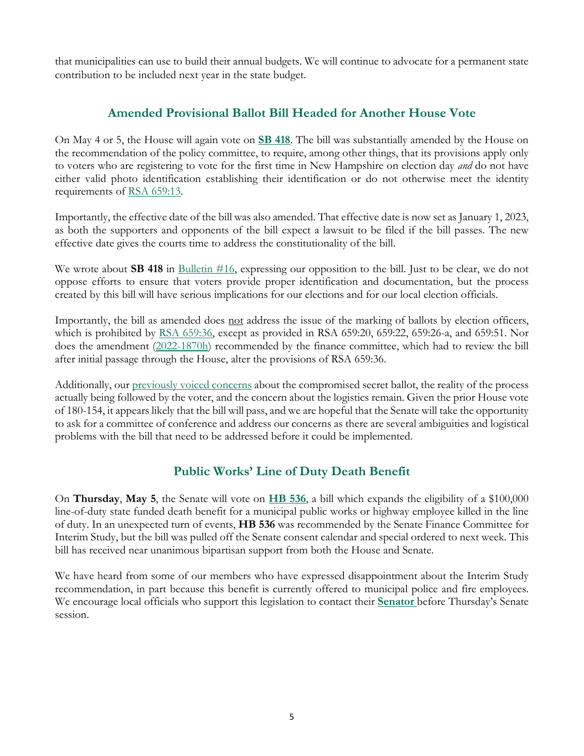that municipalities can use to build their annual budgets. We will continue to advocate for a permanent state contribution to be included next year in the state budget.

#### **Amended Provisional Ballot Bill Headed for Another House Vote**

On May 4 or 5, the House will again vote on **[SB 418](http://www.gencourt.state.nh.us/bill_status/pdf.aspx?id=34952&q=billVersion)**. The bill was substantially amended by the House on the recommendation of the policy committee, to require, among other things, that its provisions apply only to voters who are registering to vote for the first time in New Hampshire on election day *and* do not have either valid photo identification establishing their identification or do not otherwise meet the identity requirements of [RSA 659:13.](http://www.gencourt.state.nh.us/rsa/html/lxiii/659/659-13.htm)

Importantly, the effective date of the bill was also amended. That effective date is now set as January 1, 2023, as both the supporters and opponents of the bill expect a lawsuit to be filed if the bill passes. The new effective date gives the courts time to address the constitutionality of the bill.

We wrote about **SB 418** in [Bulletin #16,](https://www.nhmunicipal.org/legislative-bulletin/2022-nhma-legislative-bulletin-16#27584) expressing our opposition to the bill. Just to be clear, we do not oppose efforts to ensure that voters provide proper identification and documentation, but the process created by this bill will have serious implications for our elections and for our local election officials.

Importantly, the bill as amended does not address the issue of the marking of ballots by election officers, which is prohibited by [RSA 659:36,](http://www.gencourt.state.nh.us/rsa/html/LXIII/659/659-36.htm) except as provided in RSA 659:20, 659:22, 659:26-a, and 659:51. Nor does the amendment [\(2022-1870h\)](http://www.gencourt.state.nh.us/bill_status/pdf.aspx?id=35451&q=amendment) recommended by the finance committee, which had to review the bill after initial passage through the House, alter the provisions of RSA 659:36.

Additionally, our [previously voiced concerns](https://www.nhmunicipal.org/legislative-bulletin/2022-nhma-legislative-bulletin-16#27584) about the compromised secret ballot, the reality of the process actually being followed by the voter, and the concern about the logistics remain. Given the prior House vote of 180-154, it appears likely that the bill will pass, and we are hopeful that the Senate will take the opportunity to ask for a committee of conference and address our concerns as there are several ambiguities and logistical problems with the bill that need to be addressed before it could be implemented.

#### **Public Works' Line of Duty Death Benefit**

On **Thursday**, **May 5**, the Senate will vote on **[HB 536](http://www.gencourt.state.nh.us/bill_status/pdf.aspx?id=30064&q=billVersion)**, a bill which expands the eligibility of a \$100,000 line-of-duty state funded death benefit for a municipal public works or highway employee killed in the line of duty. In an unexpected turn of events, **HB 536** was recommended by the Senate Finance Committee for Interim Study, but the bill was pulled off the Senate consent calendar and special ordered to next week. This bill has received near unanimous bipartisan support from both the House and Senate.

We have heard from some of our members who have expressed disappointment about the Interim Study recommendation, in part because this benefit is currently offered to municipal police and fire employees. We encourage local officials who support this legislation to contact their **[Senator](http://www.gencourt.state.nh.us/senate/members/senate_roster.aspx)** before Thursday's Senate session.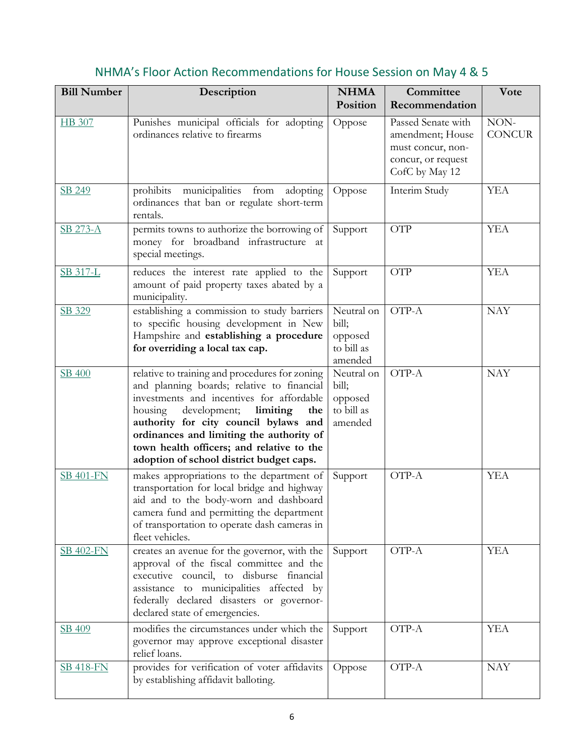| <b>Bill Number</b> | Description                                                                                                                                                                                                                                                                                                                                                           | <b>NHMA</b>                                             | Committee                                                                                           | Vote                  |
|--------------------|-----------------------------------------------------------------------------------------------------------------------------------------------------------------------------------------------------------------------------------------------------------------------------------------------------------------------------------------------------------------------|---------------------------------------------------------|-----------------------------------------------------------------------------------------------------|-----------------------|
|                    |                                                                                                                                                                                                                                                                                                                                                                       | Position                                                | Recommendation                                                                                      |                       |
| HB 307             | Punishes municipal officials for adopting<br>ordinances relative to firearms                                                                                                                                                                                                                                                                                          | Oppose                                                  | Passed Senate with<br>amendment; House<br>must concur, non-<br>concur, or request<br>CofC by May 12 | NON-<br><b>CONCUR</b> |
| SB 249             | prohibits municipalities from<br>adopting<br>ordinances that ban or regulate short-term<br>rentals.                                                                                                                                                                                                                                                                   | Oppose                                                  | Interim Study                                                                                       | <b>YEA</b>            |
| SB 273-A           | permits towns to authorize the borrowing of<br>money for broadband infrastructure at<br>special meetings.                                                                                                                                                                                                                                                             | Support                                                 | <b>OTP</b>                                                                                          | <b>YEA</b>            |
| SB 317-L           | reduces the interest rate applied to the<br>amount of paid property taxes abated by a<br>municipality.                                                                                                                                                                                                                                                                | Support                                                 | <b>OTP</b>                                                                                          | <b>YEA</b>            |
| SB 329             | establishing a commission to study barriers<br>to specific housing development in New<br>Hampshire and establishing a procedure<br>for overriding a local tax cap.                                                                                                                                                                                                    | Neutral on<br>bill;<br>opposed<br>to bill as<br>amended | OTP-A                                                                                               | <b>NAY</b>            |
| SB 400             | relative to training and procedures for zoning<br>and planning boards; relative to financial<br>investments and incentives for affordable<br>development;<br>limiting<br>housing<br>the<br>authority for city council bylaws and<br>ordinances and limiting the authority of<br>town health officers; and relative to the<br>adoption of school district budget caps. | Neutral on<br>bill;<br>opposed<br>to bill as<br>amended | OTP-A                                                                                               | <b>NAY</b>            |
| <b>SB 401-FN</b>   | makes appropriations to the department of<br>transportation for local bridge and highway<br>aid and to the body-worn and dashboard<br>camera fund and permitting the department<br>of transportation to operate dash cameras in<br>fleet vehicles.                                                                                                                    | Support                                                 | OTP-A                                                                                               | <b>YEA</b>            |
| <b>SB 402-FN</b>   | creates an avenue for the governor, with the<br>approval of the fiscal committee and the<br>executive council, to disburse financial<br>assistance to municipalities affected by<br>federally declared disasters or governor-<br>declared state of emergencies.                                                                                                       | Support                                                 | OTP-A                                                                                               | <b>YEA</b>            |
| SB 409             | modifies the circumstances under which the<br>governor may approve exceptional disaster<br>relief loans.                                                                                                                                                                                                                                                              | Support                                                 | OTP-A                                                                                               | <b>YEA</b>            |
| <b>SB 418-FN</b>   | provides for verification of voter affidavits<br>by establishing affidavit balloting.                                                                                                                                                                                                                                                                                 | Oppose                                                  | OTP-A                                                                                               | <b>NAY</b>            |

# NHMA's Floor Action Recommendations for House Session on May 4 & 5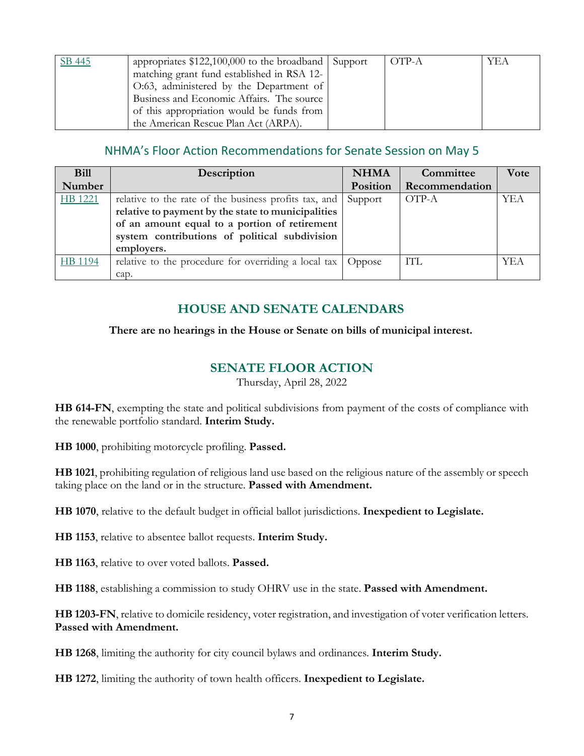| SB 445 | appropriates $$122,100,000$ to the broadband Support | OTP-A | YEA |
|--------|------------------------------------------------------|-------|-----|
|        | matching grant fund established in RSA 12-           |       |     |
|        | O:63, administered by the Department of              |       |     |
|        | Business and Economic Affairs. The source            |       |     |
|        | of this appropriation would be funds from            |       |     |
|        | the American Rescue Plan Act (ARPA).                 |       |     |

#### NHMA's Floor Action Recommendations for Senate Session on May 5

| <b>Bill</b> | Description                                                                                                                                                                                                                 | <b>NHMA</b> | Committee      | Vote       |
|-------------|-----------------------------------------------------------------------------------------------------------------------------------------------------------------------------------------------------------------------------|-------------|----------------|------------|
| Number      |                                                                                                                                                                                                                             | Position    | Recommendation |            |
| HB 1221     | relative to the rate of the business profits tax, and<br>relative to payment by the state to municipalities<br>of an amount equal to a portion of retirement<br>system contributions of political subdivision<br>employers. | Support     | OTP-A          | <b>YEA</b> |
| HB 1194     | relative to the procedure for overriding a local tax                                                                                                                                                                        | Oppose      | ITL.           | YEA        |
|             | cap.                                                                                                                                                                                                                        |             |                |            |

#### **HOUSE AND SENATE CALENDARS**

#### **There are no hearings in the House or Senate on bills of municipal interest.**

#### **SENATE FLOOR ACTION**

Thursday, April 28, 2022

**HB 614-FN**, exempting the state and political subdivisions from payment of the costs of compliance with the renewable portfolio standard. **Interim Study.**

**HB 1000**, prohibiting motorcycle profiling. **Passed.**

**HB 1021**, prohibiting regulation of religious land use based on the religious nature of the assembly or speech taking place on the land or in the structure. **Passed with Amendment.**

**HB 1070**, relative to the default budget in official ballot jurisdictions. **Inexpedient to Legislate.**

**HB 1153**, relative to absentee ballot requests. **Interim Study.**

**HB 1163**, relative to over voted ballots. **Passed.**

**HB 1188**, establishing a commission to study OHRV use in the state. **Passed with Amendment.**

**HB 1203-FN**, relative to domicile residency, voter registration, and investigation of voter verification letters. **Passed with Amendment.**

**HB 1268**, limiting the authority for city council bylaws and ordinances. **Interim Study.**

**HB 1272**, limiting the authority of town health officers. **Inexpedient to Legislate.**